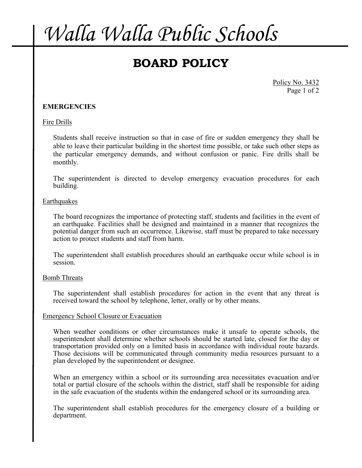## *Walla Walla Public Schools*

### **BOARD POLICY**

Policy No. 3432 Page 1 of 2

#### **EMERGENCIES**

#### Fire Drills

Students shall receive instruction so that in case of fire or sudden emergency they shall be able to leave their particular building in the shortest time possible, or take such other steps as the particular emergency demands, and without confusion or panic. Fire drills shall be monthly.

The superintendent is directed to develop emergency evacuation procedures for each building.

#### Earthquakes

The board recognizes the importance of protecting staff, students and facilities in the event of an earthquake. Facilities shall be designed and maintained in a manner that recognizes the potential danger from such an occurrence. Likewise, staff must be prepared to take necessary action to protect students and staff from harm.

The superintendent shall establish procedures should an earthquake occur while school is in session.

#### Bomb Threats

The superintendent shall establish procedures for action in the event that any threat is received toward the school by telephone, letter, orally or by other means.

#### Emergency School Closure or Evacuation

When weather conditions or other circumstances make it unsafe to operate schools, the superintendent shall determine whether schools should be started late, closed for the day or transportation provided only on a limited basis in accordance with individual route hazards. Those decisions will be communicated through community media resources pursuant to a plan developed by the superintendent or designee.

When an emergency within a school or its surrounding area necessitates evacuation and/or total or partial closure of the schools within the district, staff shall be responsible for aiding in the safe evacuation of the students within the endangered school or its surrounding area.

The superintendent shall establish procedures for the emergency closure of a building or department.